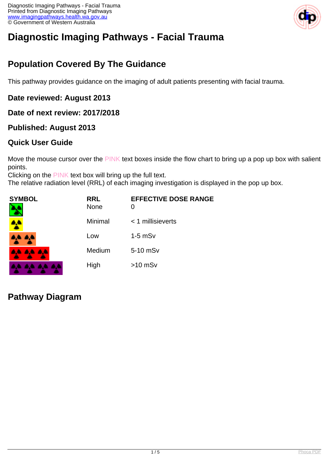

# **Diagnostic Imaging Pathways - Facial Trauma**

# **Population Covered By The Guidance**

This pathway provides guidance on the imaging of adult patients presenting with facial trauma.

#### **Date reviewed: August 2013**

#### **Date of next review: 2017/2018**

#### **Published: August 2013**

#### **Quick User Guide**

Move the mouse cursor over the PINK text boxes inside the flow chart to bring up a pop up box with salient points.

Clicking on the PINK text box will bring up the full text.

The relative radiation level (RRL) of each imaging investigation is displayed in the pop up box.

| SYMBOL          | <b>RRL</b><br><b>None</b> | <b>EFFECTIVE DOSE RANGE</b><br>0 |
|-----------------|---------------------------|----------------------------------|
|                 | Minimal                   | $<$ 1 millisieverts              |
| 4A 4A           | Low                       | $1-5$ mS $v$                     |
| <b>AA AA AA</b> | Medium                    | 5-10 mSv                         |
|                 | High                      | $>10$ mSv                        |

### **Pathway Diagram**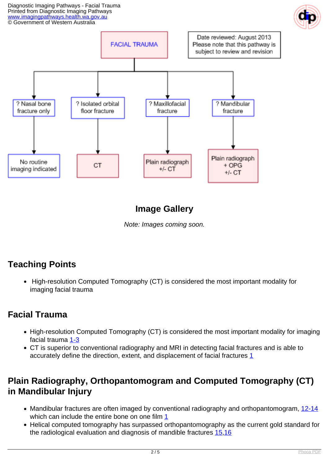Diagnostic Imaging Pathways - Facial Trauma Printed from Diagnostic Imaging Pathways [www.imagingpathways.health.wa.gov.au](http://www.imagingpathways.health.wa.gov.au/) © Government of Western Australia





### **Image Gallery**

Note: Images coming soon.

# **Teaching Points**

• High-resolution Computed Tomography (CT) is considered the most important modality for imaging facial trauma

### **Facial Trauma**

- High-resolution Computed Tomography (CT) is considered the most important modality for imaging facial trauma [1-3](index.php?option=com_content&view=article&id=112&tab=references#1)
- CT is superior to conventional radiography and MRI in detecting facial fractures and is able to accurately define the direction, extent, and displacement of facial fractures [1](index.php?option=com_content&view=article&id=112&tab=references#1)

### **Plain Radiography, Orthopantomogram and Computed Tomography (CT) in Mandibular Injury**

- Mandibular fractures are often imaged by conventional radiography and orthopantomogram, [12-14](index.php?option=com_content&view=article&id=112&tab=references#12) which can include the entire bone on one film [1](index.php?option=com_content&view=article&id=112&tab=references#1)
- Helical computed tomography has surpassed orthopantomography as the current gold standard for the radiological evaluation and diagnosis of mandible fractures [15](index.php?option=com_content&view=article&id=112&tab=references#15),[16](index.php?option=com_content&view=article&id=112&tab=references#16)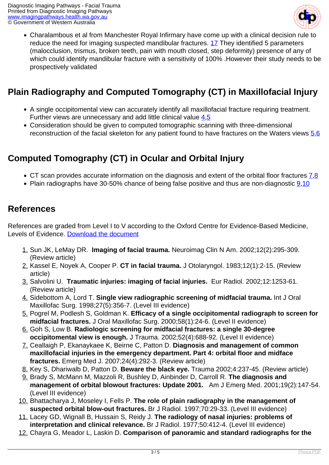

Charalambous et al from Manchester Royal Infirmary have come up with a clinical decision rule to reduce the need for imaging suspected mandibular fractures. [17](index.php?option=com_content&view=article&id=112&tab=references#17) They identified 5 parameters (malocclusion, trismus, broken teeth, pain with mouth closed, step deformity) presence of any of which could identify mandibular fracture with a sensitivity of 100% .However their study needs to be prospectively validated

# **Plain Radiography and Computed Tomography (CT) in Maxillofacial Injury**

- A single occipitomental view can accurately identify all maxillofacial fracture requiring treatment. Further views are unnecessary and add little clinical value  $4.5$
- Consideration should be given to computed tomographic scanning with three-dimensional reconstruction of the facial skeleton for any patient found to have fractures on the Waters views [5](index.php?option=com_content&view=article&id=112&tab=references#5)[,6](index.php?option=com_content&view=article&id=112&tab=references#6)

# **Computed Tomography (CT) in Ocular and Orbital Injury**

- CT scan provides accurate information on the diagnosis and extent of the orbital floor fractures  $\frac{7,8}{1}$  $\frac{7,8}{1}$  $\frac{7,8}{1}$
- Plain radiographs have 30-50% chance of being false positive and thus are non-diagnostic  $9,10$  $9,10$

### **References**

References are graded from Level I to V according to the Oxford Centre for Evidence-Based Medicine, Levels of Evidence. [Download the document](http://www.cebm.net/wp-content/uploads/2014/06/CEBM-Levels-of-Evidence-2.1.pdf)

- 1. Sun JK, LeMay DR. **Imaging of facial trauma.** Neuroimag Clin N Am. 2002;12(2):295-309. (Review article)
- 2. Kassel E, Noyek A, Cooper P. **CT in facial trauma.** J Otolaryngol. 1983;12(1):2-15. (Review article)
- 3. Salvolini U. **Traumatic injuries: imaging of facial injuries.** Eur Radiol. 2002;12:1253-61. (Review article)
- 4. Sidebottom A, Lord T. **Single view radiographic screening of midfacial trauma.** Int J Oral Maxillofac Surg. 1998;27(5):356-7. (Level III evidence)
- 5. Pogrel M, Podlesh S, Goldman K. **Efficacy of a single occipitomental radiograph to screen for midfacial fractures.** J Oral Maxillofac Surg. 2000;58(1):24-6. (Level II evidence)
- 6. Goh S, Low B. **Radiologic screening for midfacial fractures: a single 30-degree occipitomental view is enough.** J Trauma. 2002;52(4):688-92. (Level II evidence)
- 7. Ceallaigh P, Ekanaykaee K, Beirne C, Patton D. **Diagnosis and management of common maxillofacial injuries in the emergency department. Part 4: orbital floor and midface fractures.** Emerg Med J. 2007;24(4):292-3. (Review article)
- 8. Key S, Dhariwalb D, Patton D. **Beware the black eye.** Trauma 2002;4:237-45. (Review article)
- 9. Brady S, McMann M, Mazzoli R, Bushley D, Ainbinder D, Carroll R. **The diagnosis and management of orbital blowout fractures: Update 2001.** Am J Emerg Med. 2001;19(2):147-54. (Level III evidence)
- 10. Bhattacharya J, Moseley I, Fells P. **The role of plain radiography in the management of suspected orbital blow-out fractures.** Br J Radiol. 1997;70:29-33. (Level III evidence)
- 11. Lacey GD, Wignall B, Hussain S, Reidy J. **The radiology of nasal injuries: problems of interpretation and clinical relevance.** Br J Radiol. 1977;50:412-4. (Level III evidence)
- 12. Chayra G, Meador L, Laskin D. **Comparison of panoramic and standard radiographs for the**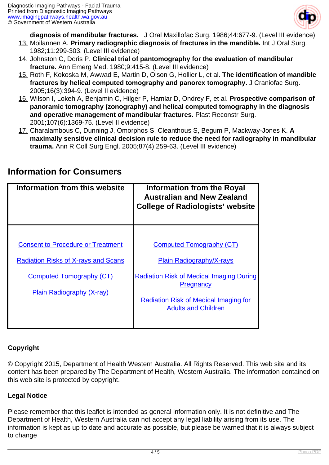

**diagnosis of mandibular fractures.** J Oral Maxillofac Surg. 1986;44:677-9. (Level III evidence)

- 13. Moilannen A. **Primary radiographic diagnosis of fractures in the mandible.** Int J Oral Surg. 1982;11:299-303. (Level III evidence)
- 14. Johnston C, Doris P. **Clinical trial of pantomography for the evaluation of mandibular fracture.** Ann Emerg Med. 1980;9:415-8. (Level III evidence)
- 15. Roth F, Kokoska M, Awwad E, Martin D, Olson G, Hollier L, et al. **The identification of mandible fractures by helical computed tomography and panorex tomography.** J Craniofac Surg. 2005;16(3):394-9. (Level II evidence)
- 16. Wilson I, Lokeh A, Benjamin C, Hilger P, Hamlar D, Ondrey F, et al. **Prospective comparison of panoramic tomography (zonography) and helical computed tomography in the diagnosis and operative management of mandibular fractures.** Plast Reconstr Surg. 2001;107(6):1369-75. (Level II evidence)
- 17. Charalambous C, Dunning J, Omorphos S, Cleanthous S, Begum P, Mackway-Jones K. **A maximally sensitive clinical decision rule to reduce the need for radiography in mandibular trauma.** Ann R Coll Surg Engl. 2005;87(4):259-63. (Level III evidence)

| Information from this website                                                                                                                                 | Information from the Royal<br><b>Australian and New Zealand</b><br><b>College of Radiologists' website</b>                                                                                                              |
|---------------------------------------------------------------------------------------------------------------------------------------------------------------|-------------------------------------------------------------------------------------------------------------------------------------------------------------------------------------------------------------------------|
| <b>Consent to Procedure or Treatment</b><br><b>Radiation Risks of X-rays and Scans</b><br><b>Computed Tomography (CT)</b><br><b>Plain Radiography (X-ray)</b> | <b>Computed Tomography (CT)</b><br><b>Plain Radiography/X-rays</b><br><b>Radiation Risk of Medical Imaging During</b><br><b>Pregnancy</b><br><b>Radiation Risk of Medical Imaging for</b><br><b>Adults and Children</b> |

### **Information for Consumers**

#### **Copyright**

© Copyright 2015, Department of Health Western Australia. All Rights Reserved. This web site and its content has been prepared by The Department of Health, Western Australia. The information contained on this web site is protected by copyright.

#### **Legal Notice**

Please remember that this leaflet is intended as general information only. It is not definitive and The Department of Health, Western Australia can not accept any legal liability arising from its use. The information is kept as up to date and accurate as possible, but please be warned that it is always subject to change